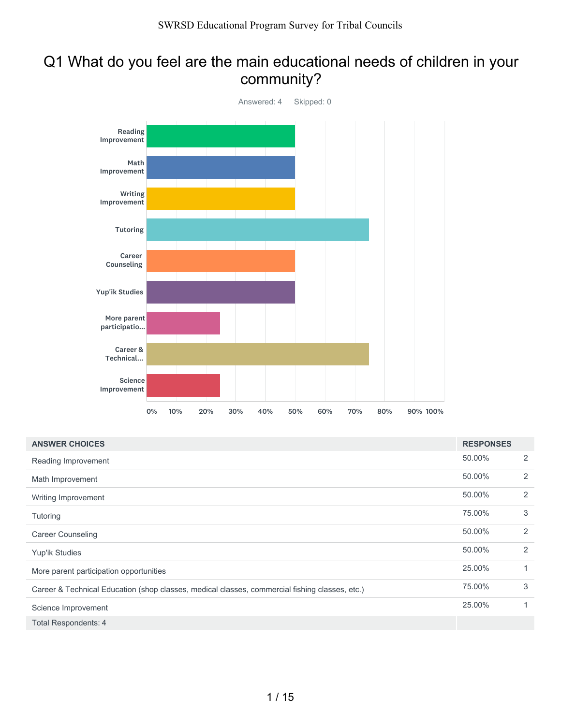# Q1 What do you feel are the main educational needs of children in your community?



| <b>ANSWER CHOICES</b>                                                                          | <b>RESPONSES</b> |              |
|------------------------------------------------------------------------------------------------|------------------|--------------|
| Reading Improvement                                                                            | 50.00%           | 2            |
| Math Improvement                                                                               | 50.00%           | 2            |
| Writing Improvement                                                                            | 50.00%           | 2            |
| Tutoring                                                                                       | 75.00%           | 3            |
| <b>Career Counseling</b>                                                                       | 50.00%           | 2            |
| Yup'ik Studies                                                                                 | 50.00%           | 2            |
| More parent participation opportunities                                                        | 25.00%           | $\mathbf{1}$ |
| Career & Technical Education (shop classes, medical classes, commercial fishing classes, etc.) | 75.00%           | 3            |
| Science Improvement                                                                            | 25.00%           | $\mathbf{1}$ |
| <b>Total Respondents: 4</b>                                                                    |                  |              |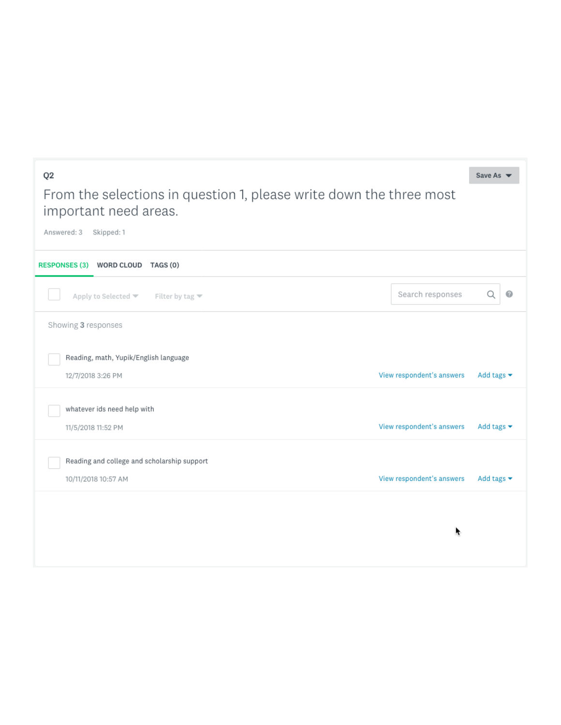#### $Q2$ Save As  $\blacktriangledown$ From the selections in question 1, please write down the three most important need areas. Answered: 3 Skipped: 1 RESPONSES (3) WORD CLOUD TAGS (0)  $\odot$ Search responses Q Apply to Selected  $\blacktriangledown$  Filter by tag  $\blacktriangledown$ Showing 3 responses Reading, math, Yupik/English language 12/7/2018 3:26 PM View respondent's answers Add tags  $\blacktriangleright$ whatever ids need help with View respondent's answers Add tags  $\blacktriangledown$ 11/5/2018 11:52 PM Reading and college and scholarship support Add tags  $\blacktriangleright$ 10/11/2018 10:57 AM View respondent's answers r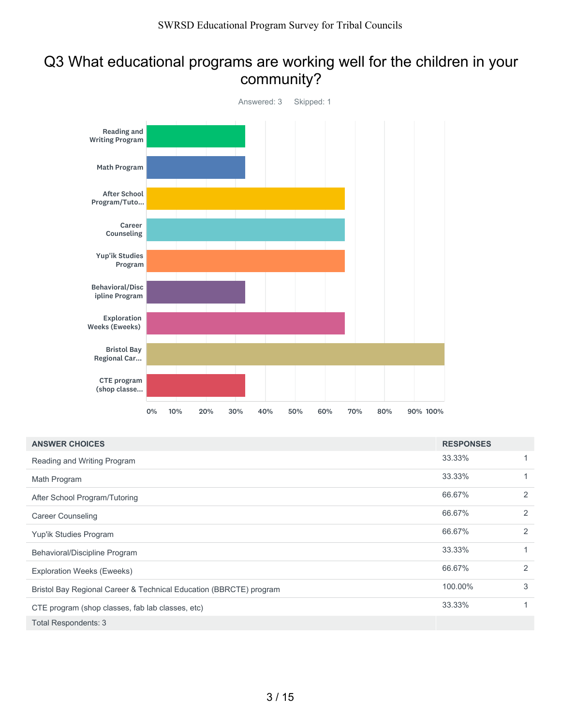# Q3 What educational programs are working well for the children in your community?



| <b>ANSWER CHOICES</b>                                              | <b>RESPONSES</b> |   |
|--------------------------------------------------------------------|------------------|---|
| Reading and Writing Program                                        | 33.33%           |   |
| Math Program                                                       | 33.33%           |   |
| After School Program/Tutoring                                      | 66.67%           | 2 |
| <b>Career Counseling</b>                                           | 66.67%           | 2 |
| Yup'ik Studies Program                                             | 66.67%           | 2 |
| Behavioral/Discipline Program                                      | 33.33%           | 1 |
| <b>Exploration Weeks (Eweeks)</b>                                  | 66.67%           | 2 |
| Bristol Bay Regional Career & Technical Education (BBRCTE) program | 100.00%          | 3 |
| CTE program (shop classes, fab lab classes, etc)                   | 33.33%           |   |
| Total Respondents: 3                                               |                  |   |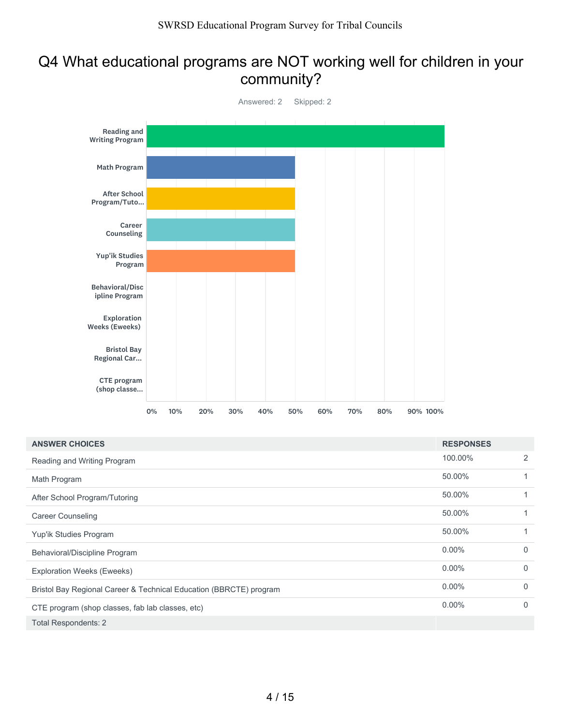#### Q4 What educational programs are NOT working well for children in your community?



| <b>ANSWER CHOICES</b>                                              | <b>RESPONSES</b> |             |
|--------------------------------------------------------------------|------------------|-------------|
| Reading and Writing Program                                        | 100.00%          | 2           |
| Math Program                                                       | 50.00%           | 1           |
| After School Program/Tutoring                                      | 50.00%           | 1           |
| <b>Career Counseling</b>                                           | 50.00%           | 1           |
| Yup'ik Studies Program                                             | 50.00%           | 1           |
| Behavioral/Discipline Program                                      | $0.00\%$         | $\mathbf 0$ |
| <b>Exploration Weeks (Eweeks)</b>                                  | $0.00\%$         | $\mathbf 0$ |
| Bristol Bay Regional Career & Technical Education (BBRCTE) program | $0.00\%$         | $\mathbf 0$ |
| CTE program (shop classes, fab lab classes, etc)                   | $0.00\%$         | $\mathbf 0$ |
| <b>Total Respondents: 2</b>                                        |                  |             |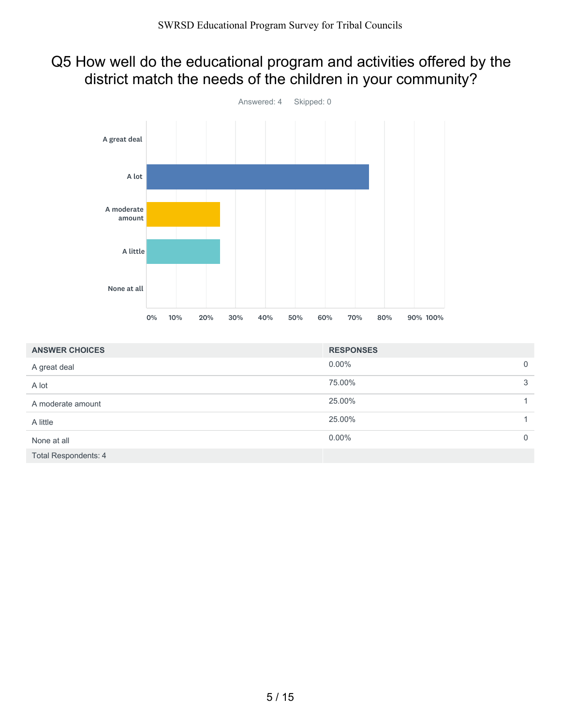# Q5 How well do the educational program and activities offered by the district match the needs of the children in your community?



| <b>ANSWER CHOICES</b>       | <b>RESPONSES</b> |                |
|-----------------------------|------------------|----------------|
| A great deal                | $0.00\%$         | $\overline{0}$ |
| A lot                       | 75.00%           | 3              |
| A moderate amount           | 25.00%           |                |
| A little                    | 25.00%           |                |
| None at all                 | $0.00\%$         | $\mathbf{0}$   |
| <b>Total Respondents: 4</b> |                  |                |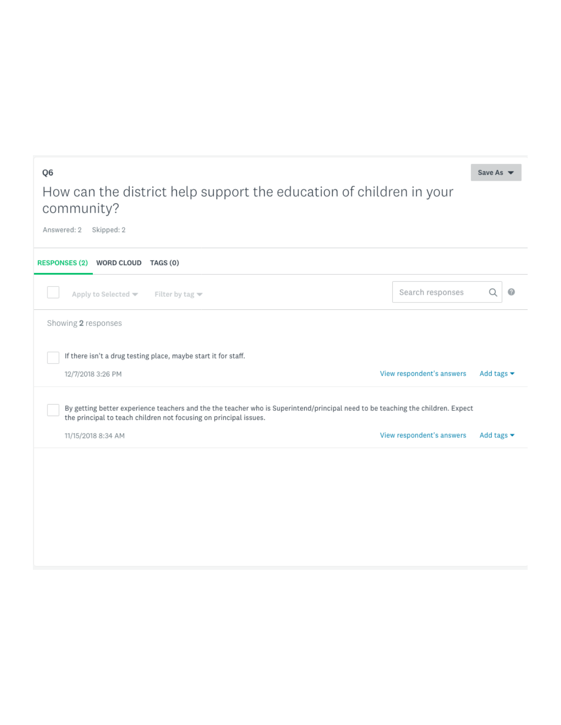# How can the district help support the education of children in your community?

Save As  $\blacktriangledown$ 

Q6

Answered: 2 Skipped: 2 RESPONSES (2) WORD CLOUD TAGS (0) Search responses Q  $\bullet$ Apply to Selected  $\blacktriangledown$ Filter by tag  $\blacktriangledown$ Showing 2 responses If there isn't a drug testing place, maybe start it for staff. 12/7/2018 3:26 PM View respondent's answers Add tags  $\blacktriangleright$ By getting better experience teachers and the the teacher who is Superintend/principal need to be teaching the children. Expect the principal to teach children not focusing on principal issues. 11/15/2018 8:34 AM View respondent's answers Add tags  $\blacktriangleright$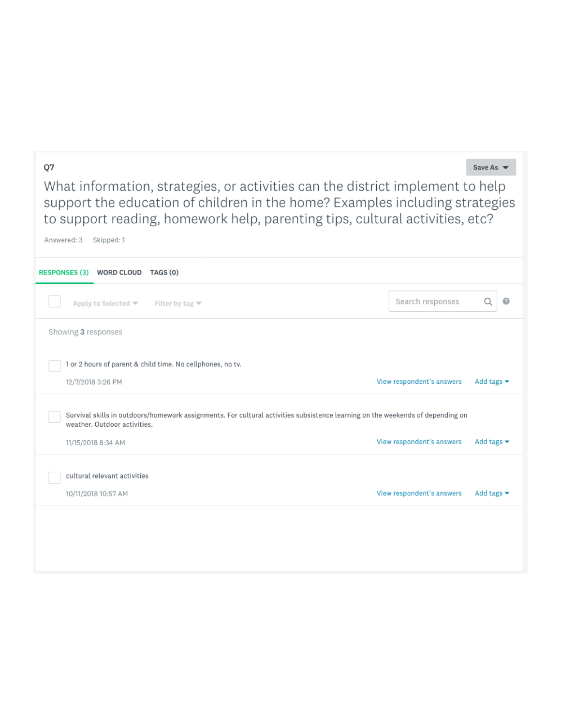#### Q7

Save As  $\blacktriangledown$ 

What information, strategies, or activities can the district implement to help support the education of children in the home? Examples including strategies to support reading, homework help, parenting tips, cultural activities, etc?

| Answered: 3         | Skipped: 1                                                                                                                                                     |                           |                                |
|---------------------|----------------------------------------------------------------------------------------------------------------------------------------------------------------|---------------------------|--------------------------------|
|                     | RESPONSES (3) WORD CLOUD TAGS (0)                                                                                                                              |                           |                                |
|                     | Apply to Selected $\blacktriangledown$<br>Filter by tag $\blacktriangledown$                                                                                   | Search responses          | Q                              |
| Showing 3 responses |                                                                                                                                                                |                           |                                |
|                     | 1 or 2 hours of parent & child time. No cellphones, no tv.                                                                                                     |                           |                                |
|                     | 12/7/2018 3:26 PM                                                                                                                                              | View respondent's answers | Add tags $\blacktriangleright$ |
|                     | Survival skills in outdoors/homework assignments. For cultural activities subsistence learning on the weekends of depending on<br>weather, Outdoor activities. |                           |                                |
|                     | 11/15/2018 8:34 AM                                                                                                                                             | View respondent's answers | Add tags $\blacktriangleright$ |
|                     | cultural relevant activities<br>10/11/2018 10:57 AM                                                                                                            | View respondent's answers | Add tags $\blacktriangleright$ |
|                     |                                                                                                                                                                |                           |                                |
|                     |                                                                                                                                                                |                           |                                |
|                     |                                                                                                                                                                |                           |                                |
|                     |                                                                                                                                                                |                           |                                |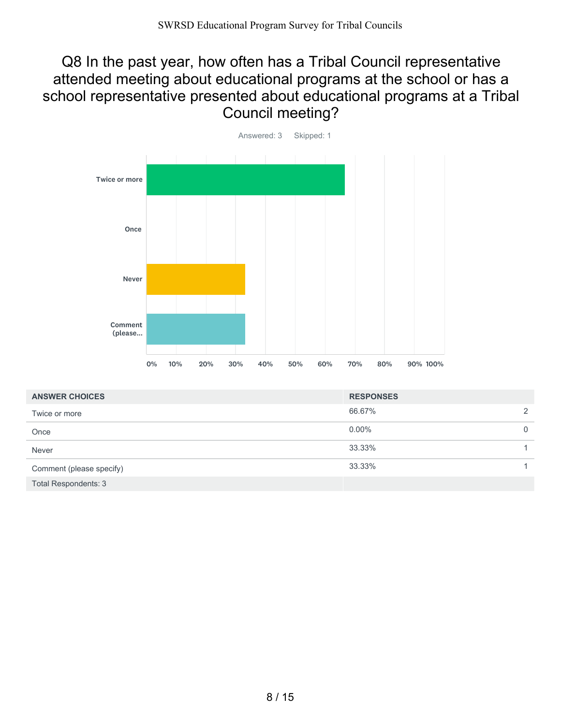#### Q8 In the past year, how often has a Tribal Council representative attended meeting about educational programs at the school or has a school representative presented about educational programs at a Tribal Council meeting?



| <b>ANSWER CHOICES</b>       | <b>RESPONSES</b> |             |
|-----------------------------|------------------|-------------|
| Twice or more               | 66.67%           | 2           |
| Once                        | $0.00\%$         | $\mathbf 0$ |
| Never                       | 33.33%           |             |
| Comment (please specify)    | 33.33%           |             |
| <b>Total Respondents: 3</b> |                  |             |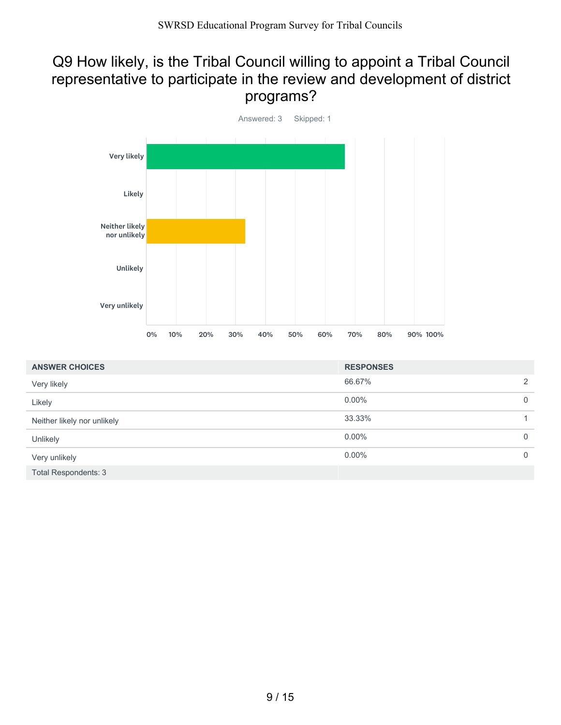# Q9 How likely, is the Tribal Council willing to appoint a Tribal Council representative to participate in the review and development of district programs?



| <b>ANSWER CHOICES</b>       | <b>RESPONSES</b> |                |
|-----------------------------|------------------|----------------|
| Very likely                 | 66.67%           | $\overline{2}$ |
| Likely                      | $0.00\%$         | $\mathbf 0$    |
| Neither likely nor unlikely | 33.33%           |                |
| Unlikely                    | $0.00\%$         | $\mathbf 0$    |
| Very unlikely               | $0.00\%$         | $\mathbf 0$    |
| <b>Total Respondents: 3</b> |                  |                |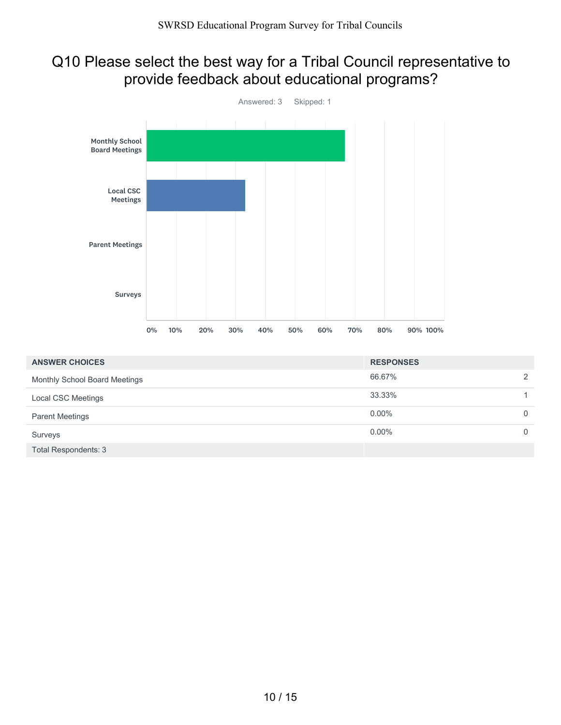## Q10 Please select the best way for a Tribal Council representative to provide feedback about educational programs?



| <b>ANSWER CHOICES</b>         | <b>RESPONSES</b> |          |
|-------------------------------|------------------|----------|
| Monthly School Board Meetings | 66.67%           | 2        |
| Local CSC Meetings            | 33.33%           |          |
| <b>Parent Meetings</b>        | $0.00\%$         | $\Omega$ |
| Surveys                       | $0.00\%$         | $\Omega$ |
| <b>Total Respondents: 3</b>   |                  |          |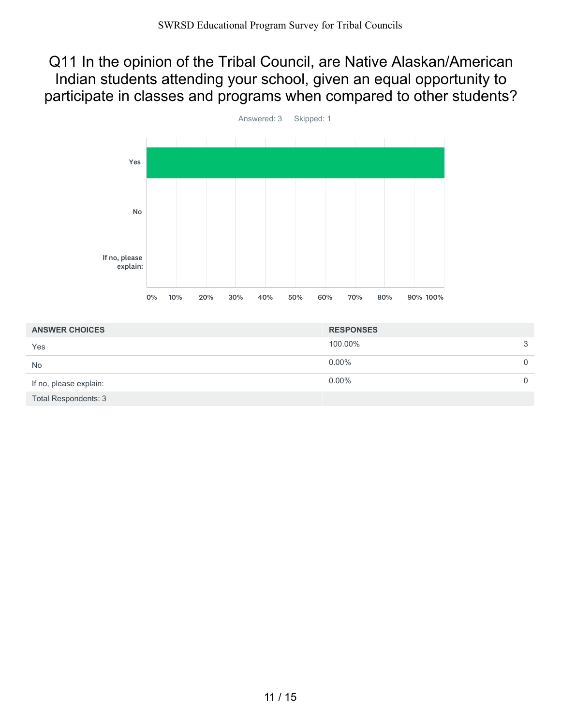#### Q11 In the opinion of the Tribal Council, are Native Alaskan/American Indian students attending your school, given an equal opportunity to participate in classes and programs when compared to other students?



| <b>ANSWER CHOICES</b>       | <b>RESPONSES</b> |          |
|-----------------------------|------------------|----------|
| Yes                         | 100.00%          | 3        |
| <b>No</b>                   | $0.00\%$         | $\Omega$ |
| If no, please explain:      | $0.00\%$         |          |
| <b>Total Respondents: 3</b> |                  |          |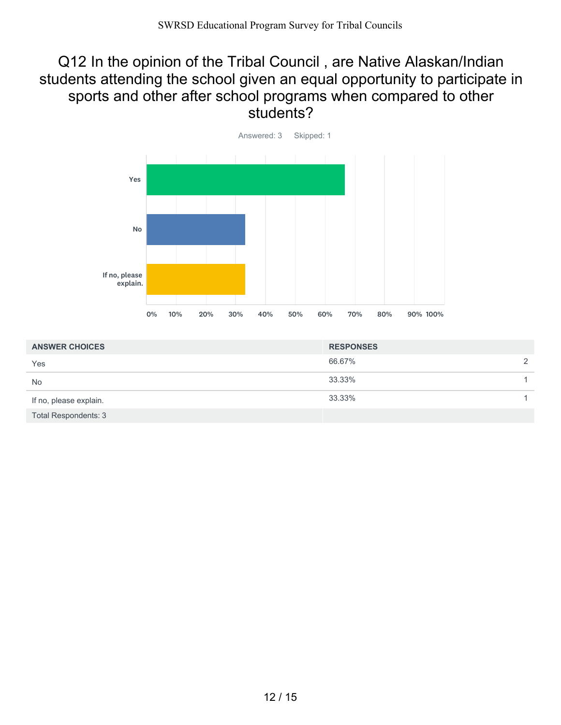#### Q12 In the opinion of the Tribal Council , are Native Alaskan/Indian students attending the school given an equal opportunity to participate in sports and other after school programs when compared to other students?



| <b>ANSWER CHOICES</b>       | <b>RESPONSES</b> |   |
|-----------------------------|------------------|---|
| Yes                         | 66.67%           | 2 |
| <b>No</b>                   | 33.33%           |   |
| If no, please explain.      | 33.33%           |   |
| <b>Total Respondents: 3</b> |                  |   |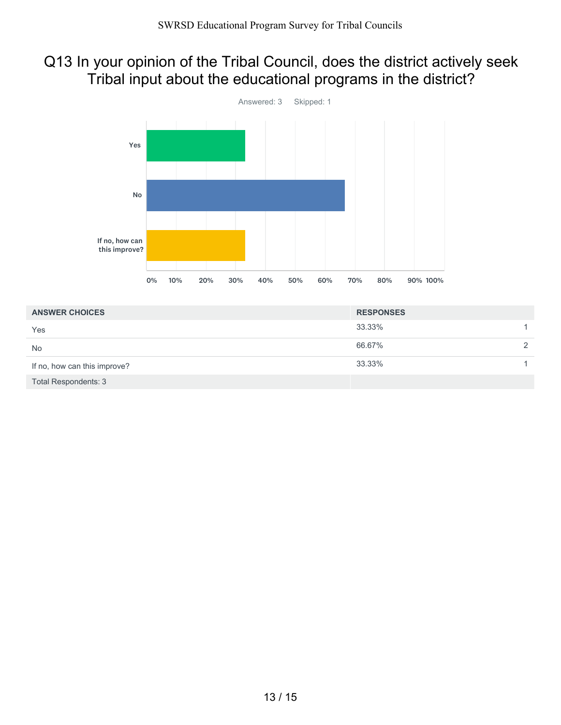# Q13 In your opinion of the Tribal Council, does the district actively seek Tribal input about the educational programs in the district?



| <b>ANSWER CHOICES</b>        | <b>RESPONSES</b> |               |
|------------------------------|------------------|---------------|
| Yes                          | 33.33%           |               |
| <b>No</b>                    | 66.67%           | $\mathcal{D}$ |
| If no, how can this improve? | 33.33%           |               |
| <b>Total Respondents: 3</b>  |                  |               |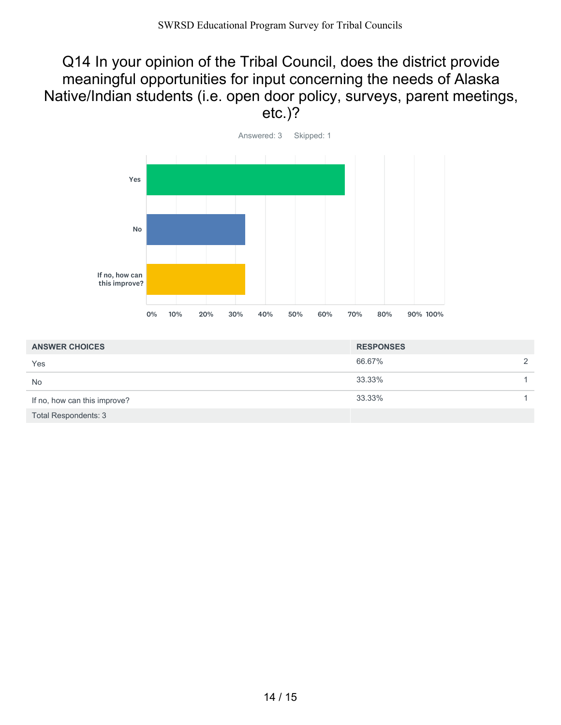#### Q14 In your opinion of the Tribal Council, does the district provide meaningful opportunities for input concerning the needs of Alaska Native/Indian students (i.e. open door policy, surveys, parent meetings, etc.)?



| <b>ANSWER CHOICES</b>        | <b>RESPONSES</b> |   |
|------------------------------|------------------|---|
| Yes                          | 66.67%           | 2 |
| <b>No</b>                    | 33.33%           |   |
| If no, how can this improve? | 33.33%           |   |
| <b>Total Respondents: 3</b>  |                  |   |